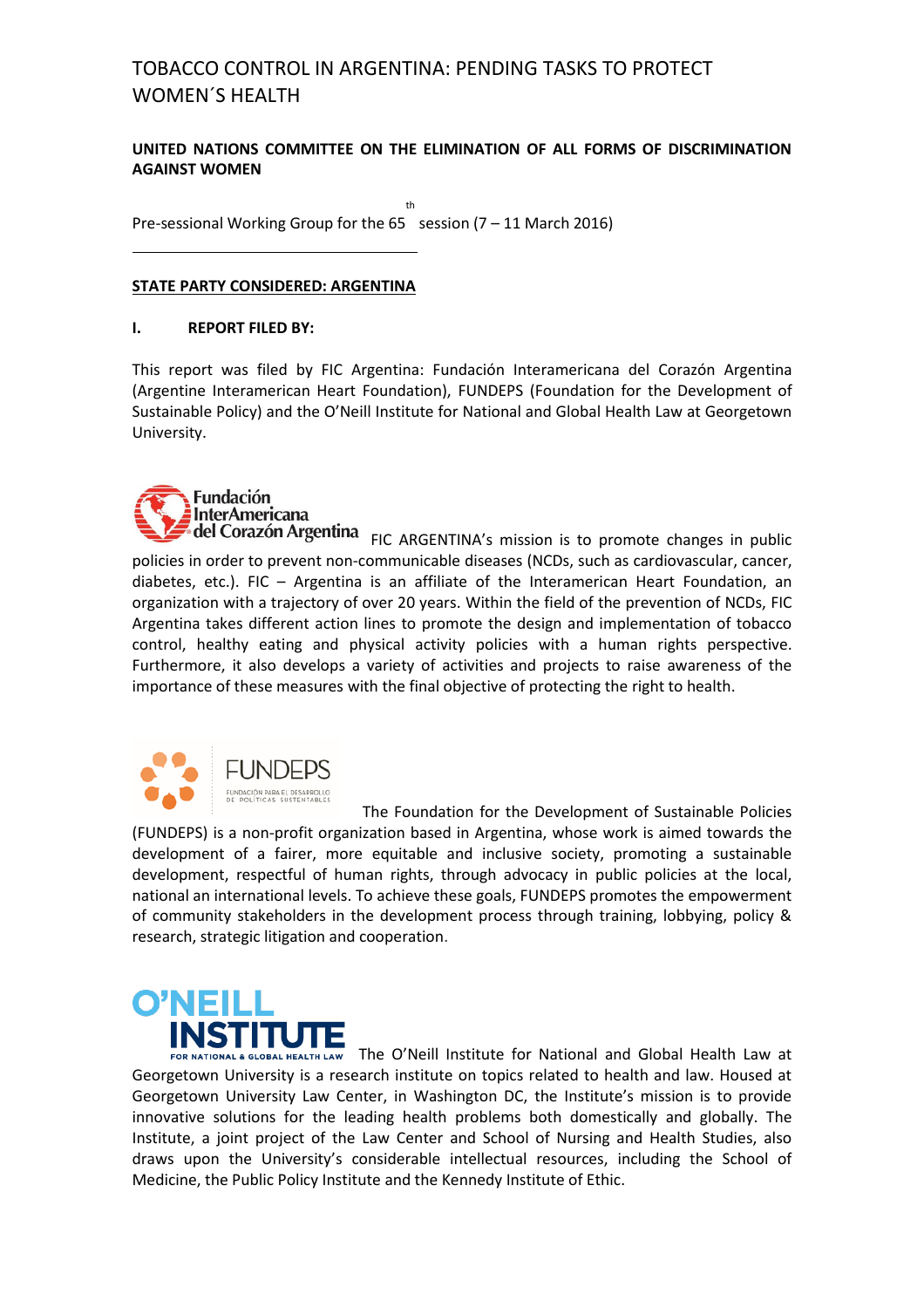### **UNITED NATIONS COMMITTEE ON THE ELIMINATION OF ALL FORMS OF DISCRIMINATION AGAINST WOMEN**

Pre-sessional Working Group for the 65 session (7 – 11 March 2016) th

### **STATE PARTY CONSIDERED: ARGENTINA**

### **I. REPORT FILED BY:**

This report was filed by FIC Argentina: Fundación Interamericana del Corazón Argentina (Argentine Interamerican Heart Foundation), FUNDEPS (Foundation for the Development of Sustainable Policy) and the O'Neill Institute for National and Global Health Law at Georgetown University.



FIC ARGENTINA's mission is to promote changes in public policies in order to prevent non-communicable diseases (NCDs, such as cardiovascular, cancer, diabetes, etc.). FIC – Argentina is an affiliate of the Interamerican Heart Foundation, an organization with a trajectory of over 20 years. Within the field of the prevention of NCDs, FIC Argentina takes different action lines to promote the design and implementation of tobacco control, healthy eating and physical activity policies with a human rights perspective. Furthermore, it also develops a variety of activities and projects to raise awareness of the importance of these measures with the final objective of protecting the right to health.



 The Foundation for the Development of Sustainable Policies (FUNDEPS) is a non-profit organization based in Argentina, whose work is aimed towards the development of a fairer, more equitable and inclusive society, promoting a sustainable development, respectful of human rights, through advocacy in public policies at the local, national an international levels. To achieve these goals, FUNDEPS promotes the empowerment of community stakeholders in the development process through training, lobbying, policy & research, strategic litigation and cooperation.



THE ONEILL ACLOBAL HEALTH LAW The O'Neill Institute for National and Global Health Law at Georgetown University is a research institute on topics related to health and law. Housed at Georgetown University Law Center, in Washington DC, the Institute's mission is to provide innovative solutions for the leading health problems both domestically and globally. The Institute, a joint project of the Law Center and School of Nursing and Health Studies, also draws upon the University's considerable intellectual resources, including the School of Medicine, the Public Policy Institute and the Kennedy Institute of Ethic.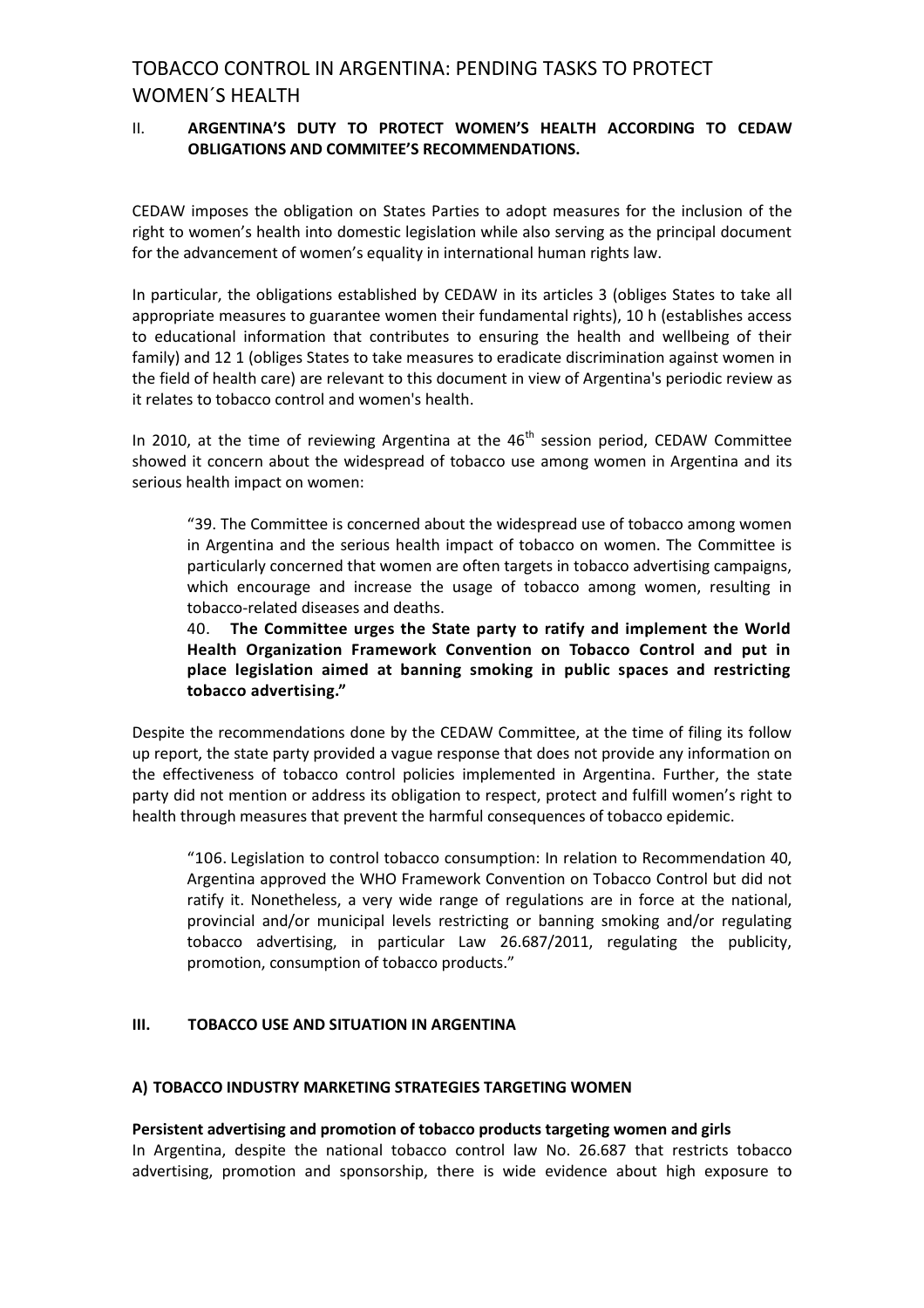### II. **ARGENTINA'S DUTY TO PROTECT WOMEN'S HEALTH ACCORDING TO CEDAW OBLIGATIONS AND COMMITEE'S RECOMMENDATIONS.**

CEDAW imposes the obligation on States Parties to adopt measures for the inclusion of the right to women's health into domestic legislation while also serving as the principal document for the advancement of women's equality in international human rights law.

In particular, the obligations established by CEDAW in its articles 3 (obliges States to take all appropriate measures to guarantee women their fundamental rights), 10 h (establishes access to educational information that contributes to ensuring the health and wellbeing of their family) and 12 1 (obliges States to take measures to eradicate discrimination against women in the field of health care) are relevant to this document in view of Argentina's periodic review as it relates to tobacco control and women's health.

In 2010, at the time of reviewing Argentina at the  $46<sup>th</sup>$  session period, CEDAW Committee showed it concern about the widespread of tobacco use among women in Argentina and its serious health impact on women:

"39. The Committee is concerned about the widespread use of tobacco among women in Argentina and the serious health impact of tobacco on women. The Committee is particularly concerned that women are often targets in tobacco advertising campaigns, which encourage and increase the usage of tobacco among women, resulting in tobacco-related diseases and deaths.

40. **The Committee urges the State party to ratify and implement the World Health Organization Framework Convention on Tobacco Control and put in place legislation aimed at banning smoking in public spaces and restricting tobacco advertising."**

Despite the recommendations done by the CEDAW Committee, at the time of filing its follow up report, the state party provided a vague response that does not provide any information on the effectiveness of tobacco control policies implemented in Argentina. Further, the state party did not mention or address its obligation to respect, protect and fulfill women's right to health through measures that prevent the harmful consequences of tobacco epidemic.

"106. Legislation to control tobacco consumption: In relation to Recommendation 40, Argentina approved the WHO Framework Convention on Tobacco Control but did not ratify it. Nonetheless, a very wide range of regulations are in force at the national, provincial and/or municipal levels restricting or banning smoking and/or regulating tobacco advertising, in particular Law 26.687/2011, regulating the publicity, promotion, consumption of tobacco products."

## **III. TOBACCO USE AND SITUATION IN ARGENTINA**

### **A) TOBACCO INDUSTRY MARKETING STRATEGIES TARGETING WOMEN**

### **Persistent advertising and promotion of tobacco products targeting women and girls**

In Argentina, despite the national tobacco control law No. 26.687 that restricts tobacco advertising, promotion and sponsorship, there is wide evidence about high exposure to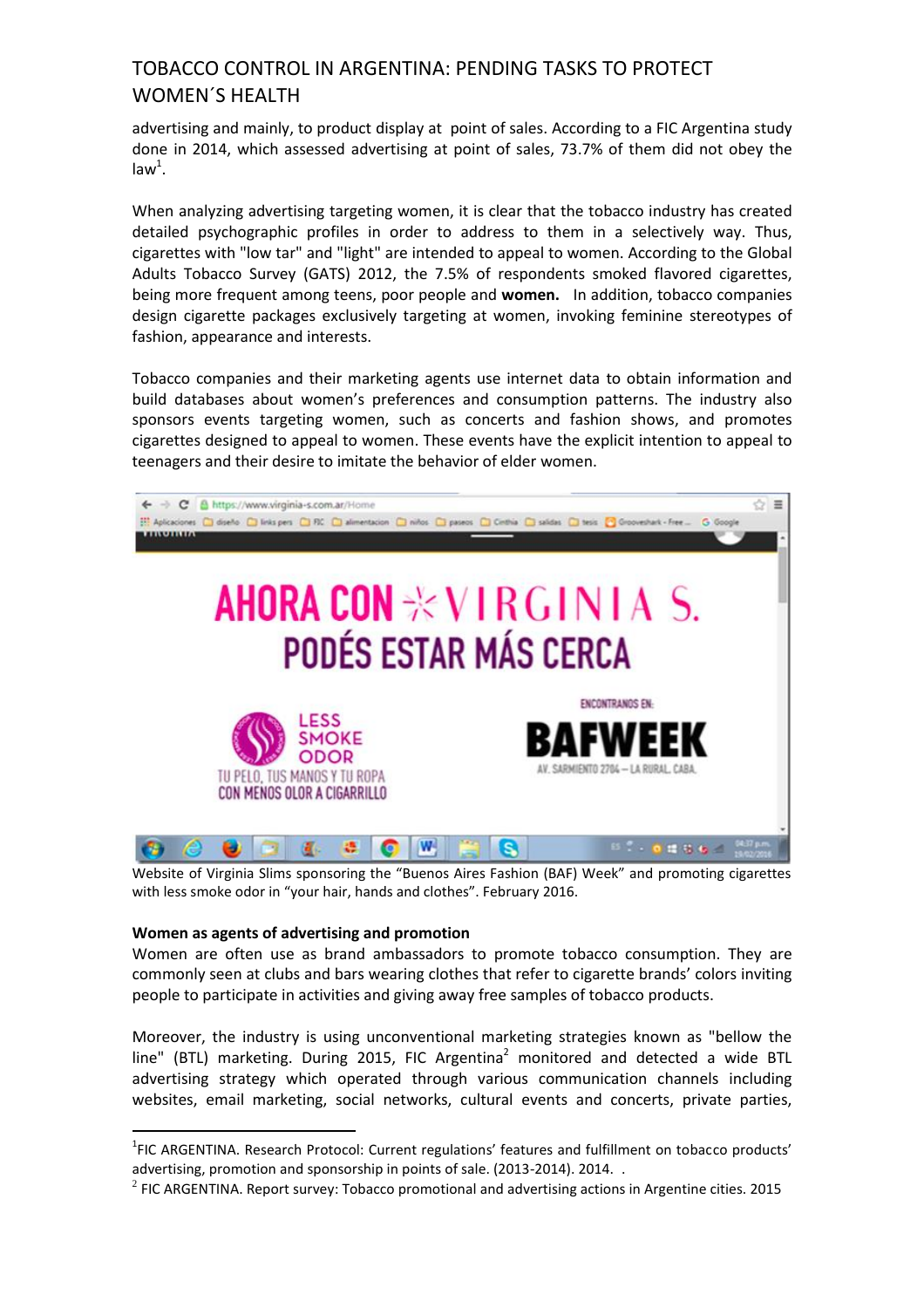advertising and mainly, to product display at point of sales. According to a FIC Argentina study done in 2014, which assessed advertising at point of sales, 73.7% of them did not obey the  $law<sup>1</sup>$ .

When analyzing advertising targeting women, it is clear that the tobacco industry has created detailed psychographic profiles in order to address to them in a selectively way. Thus, cigarettes with "low tar" and "light" are intended to appeal to women. According to the Global Adults Tobacco Survey (GATS) 2012, the 7.5% of respondents smoked flavored cigarettes, being more frequent among teens, poor people and **women.** In addition, tobacco companies design cigarette packages exclusively targeting at women, invoking feminine stereotypes of fashion, appearance and interests.

Tobacco companies and their marketing agents use internet data to obtain information and build databases about women's preferences and consumption patterns. The industry also sponsors events targeting women, such as concerts and fashion shows, and promotes cigarettes designed to appeal to women. These events have the explicit intention to appeal to teenagers and their desire to imitate the behavior of elder women.



Website of Virginia Slims sponsoring the "Buenos Aires Fashion (BAF) Week" and promoting cigarettes with less smoke odor in "your hair, hands and clothes". February 2016.

### **Women as agents of advertising and promotion**

<u>.</u>

Women are often use as brand ambassadors to promote tobacco consumption. They are commonly seen at clubs and bars wearing clothes that refer to cigarette brands' colors inviting people to participate in activities and giving away free samples of tobacco products.

Moreover, the industry is using unconventional marketing strategies known as "bellow the line" (BTL) marketing. During 2015, FIC Argentina<sup>2</sup> monitored and detected a wide BTL advertising strategy which operated through various communication channels including websites, email marketing, social networks, cultural events and concerts, private parties,

<sup>&</sup>lt;sup>1</sup>FIC ARGENTINA. Research Protocol: Current regulations' features and fulfillment on tobacco products' advertising, promotion and sponsorship in points of sale. (2013-2014). 2014. .

 $^{2}$  FIC ARGENTINA. Report survey: Tobacco promotional and advertising actions in Argentine cities. 2015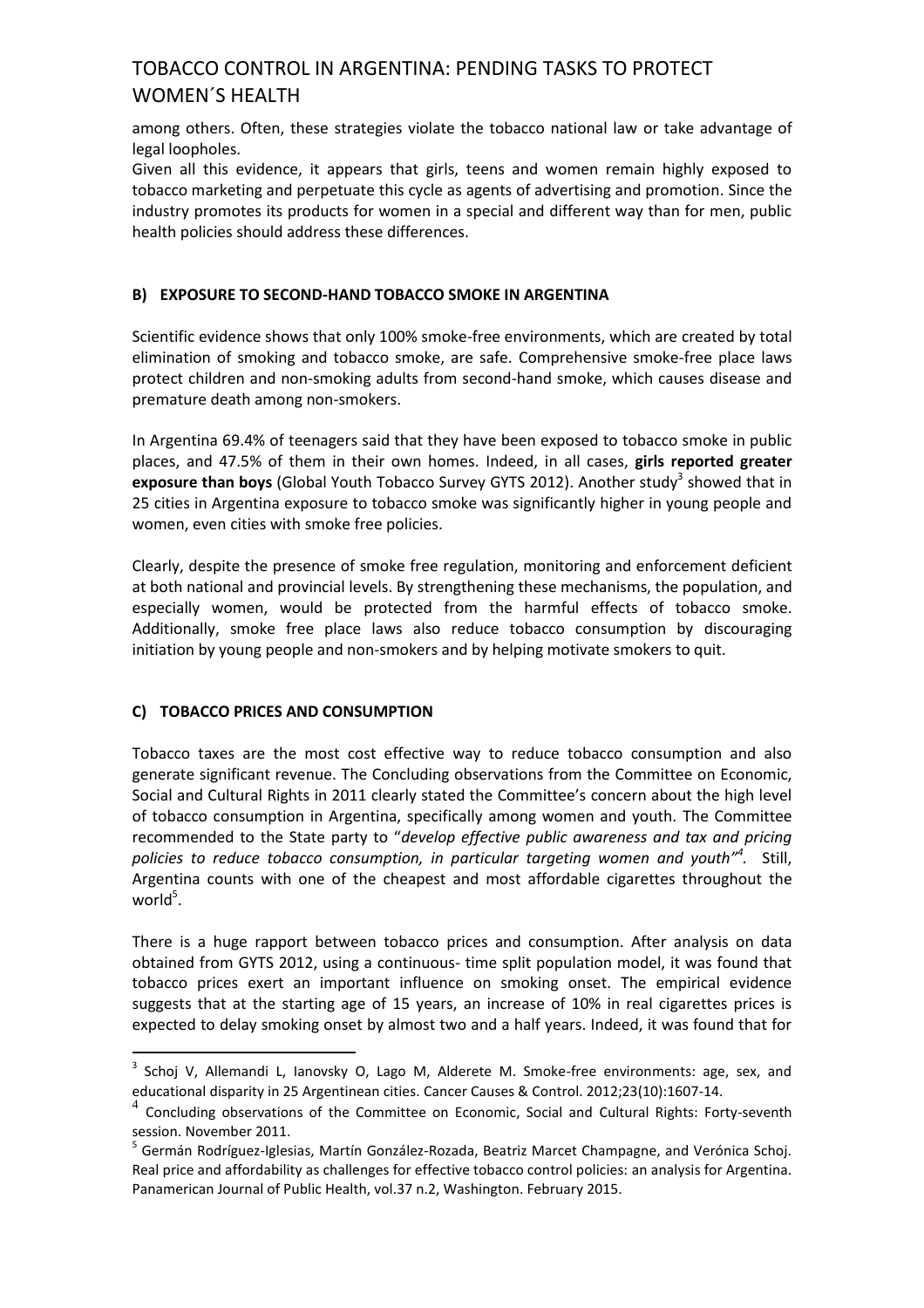among others. Often, these strategies violate the tobacco national law or take advantage of legal loopholes.

Given all this evidence, it appears that girls, teens and women remain highly exposed to tobacco marketing and perpetuate this cycle as agents of advertising and promotion. Since the industry promotes its products for women in a special and different way than for men, public health policies should address these differences.

# **B) EXPOSURE TO SECOND-HAND TOBACCO SMOKE IN ARGENTINA**

Scientific evidence shows that only 100% smoke-free environments, which are created by total elimination of smoking and tobacco smoke, are safe. Comprehensive smoke-free place laws protect children and non-smoking adults from second-hand smoke, which causes disease and premature death among non-smokers.

In Argentina 69.4% of teenagers said that they have been exposed to tobacco smoke in public places, and 47.5% of them in their own homes. Indeed, in all cases, **girls reported greater**  exposure than boys (Global Youth Tobacco Survey GYTS 2012). Another study<sup>3</sup> showed that in 25 cities in Argentina exposure to tobacco smoke was significantly higher in young people and women, even cities with smoke free policies.

Clearly, despite the presence of smoke free regulation, monitoring and enforcement deficient at both national and provincial levels. By strengthening these mechanisms, the population, and especially women, would be protected from the harmful effects of tobacco smoke. Additionally, smoke free place laws also reduce tobacco consumption by discouraging initiation by young people and non-smokers and by helping motivate smokers to quit.

## **C) TOBACCO PRICES AND CONSUMPTION**

<u>.</u>

Tobacco taxes are the most cost effective way to reduce tobacco consumption and also generate significant revenue. The Concluding observations from the Committee on Economic, Social and Cultural Rights in 2011 clearly stated the Committee's concern about the high level of tobacco consumption in Argentina, specifically among women and youth. The Committee recommended to the State party to "*develop effective public awareness and tax and pricing policies to reduce tobacco consumption, in particular targeting women and youth"<sup>4</sup> .* Still, Argentina counts with one of the cheapest and most affordable cigarettes throughout the  $world<sup>5</sup>$ .

There is a huge rapport between tobacco prices and consumption. After analysis on data obtained from GYTS 2012, using a continuous- time split population model, it was found that tobacco prices exert an important influence on smoking onset. The empirical evidence suggests that at the starting age of 15 years, an increase of 10% in real cigarettes prices is expected to delay smoking onset by almost two and a half years. Indeed, it was found that for

<sup>&</sup>lt;sup>3</sup> Schoj V, Allemandi L, Ianovsky O, Lago M, Alderete M. Smoke-free environments: age, sex, and educational disparity in 25 Argentinean cities. Cancer Causes & Control. 2012;23(10):1607-14.

<sup>4</sup> Concluding observations of the Committee on Economic, Social and Cultural Rights: Forty-seventh session. November 2011.

<sup>&</sup>lt;sup>5</sup> Germán Rodríguez-Iglesias, Martín González-Rozada, Beatriz Marcet Champagne, and Verónica Schoj. Real price and affordability as challenges for effective tobacco control policies: an analysis for Argentina. Panamerican Journal of Public Health, vol.37 n.2, Washington. February 2015.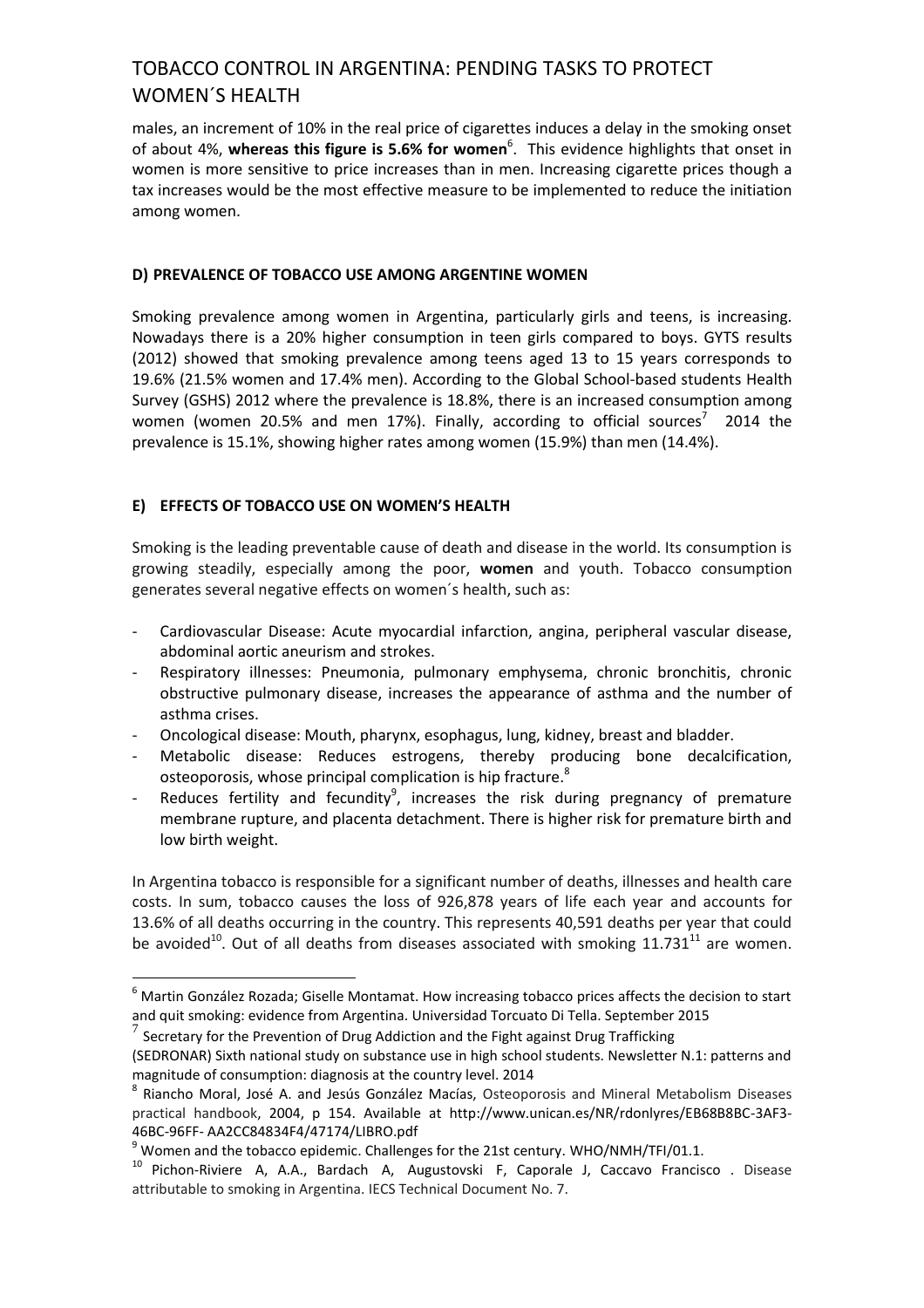males, an increment of 10% in the real price of cigarettes induces a delay in the smoking onset of about 4%, whereas this figure is 5.6% for women<sup>6</sup>. This evidence highlights that onset in women is more sensitive to price increases than in men. Increasing cigarette prices though a tax increases would be the most effective measure to be implemented to reduce the initiation among women.

### **D) PREVALENCE OF TOBACCO USE AMONG ARGENTINE WOMEN**

Smoking prevalence among women in Argentina, particularly girls and teens, is increasing. Nowadays there is a 20% higher consumption in teen girls compared to boys. GYTS results (2012) showed that smoking prevalence among teens aged 13 to 15 years corresponds to 19.6% (21.5% women and 17.4% men). According to the Global School-based students Health Survey (GSHS) 2012 where the prevalence is 18.8%, there is an increased consumption among women (women 20.5% and men 17%). Finally, according to official sources<sup>7</sup> 2014 the prevalence is 15.1%, showing higher rates among women (15.9%) than men (14.4%).

## **E) EFFECTS OF TOBACCO USE ON WOMEN'S HEALTH**

Smoking is the leading preventable cause of death and disease in the world. Its consumption is growing steadily, especially among the poor, **women** and youth. Tobacco consumption generates several negative effects on women´s health, such as:

- Cardiovascular Disease: Acute myocardial infarction, angina, peripheral vascular disease, abdominal aortic aneurism and strokes.
- Respiratory illnesses: Pneumonia, pulmonary emphysema, chronic bronchitis, chronic obstructive pulmonary disease, increases the appearance of asthma and the number of asthma crises.
- Oncological disease: Mouth, pharynx, esophagus, lung, kidney, breast and bladder.
- Metabolic disease: Reduces estrogens, thereby producing bone decalcification, osteoporosis, whose principal complication is hip fracture.<sup>8</sup>
- Reduces fertility and fecundity<sup>9</sup>, increases the risk during pregnancy of premature membrane rupture, and placenta detachment. There is higher risk for premature birth and low birth weight.

In Argentina tobacco is responsible for a significant number of deaths, illnesses and health care costs. In sum, tobacco causes the loss of 926,878 years of life each year and accounts for 13.6% of all deaths occurring in the country. This represents 40,591 deaths per year that could be avoided<sup>10</sup>. Out of all deaths from diseases associated with smoking  $11.731<sup>11</sup>$  are women.

<u>.</u>

<sup>6</sup> Martin González Rozada; Giselle Montamat. How increasing tobacco prices affects the decision to start and quit smoking: evidence from Argentina. Universidad Torcuato Di Tella. September 2015

<sup>7</sup> Secretary for the Prevention of Drug Addiction and the Fight against Drug Trafficking

<sup>(</sup>SEDRONAR) Sixth national study on substance use in high school students. Newsletter N.1: patterns and magnitude of consumption: diagnosis at the country level. 2014

<sup>8</sup> Riancho Moral, José A. and Jesús González Macías, Osteoporosis and Mineral Metabolism Diseases practical handbook, 2004, p 154. Available at http://www.unican.es/NR/rdonlyres/EB68B8BC-3AF3- 46BC-96FF- AA2CC84834F4/47174/LIBRO.pdf

 $9$  Women and the tobacco epidemic. Challenges for the 21st century. WHO/NMH/TFI/01.1.

<sup>&</sup>lt;sup>10</sup> Pichon-Riviere A, A.A., Bardach A, Augustovski F, Caporale J, Caccavo Francisco . Disease attributable to smoking in Argentina. IECS Technical Document No. 7.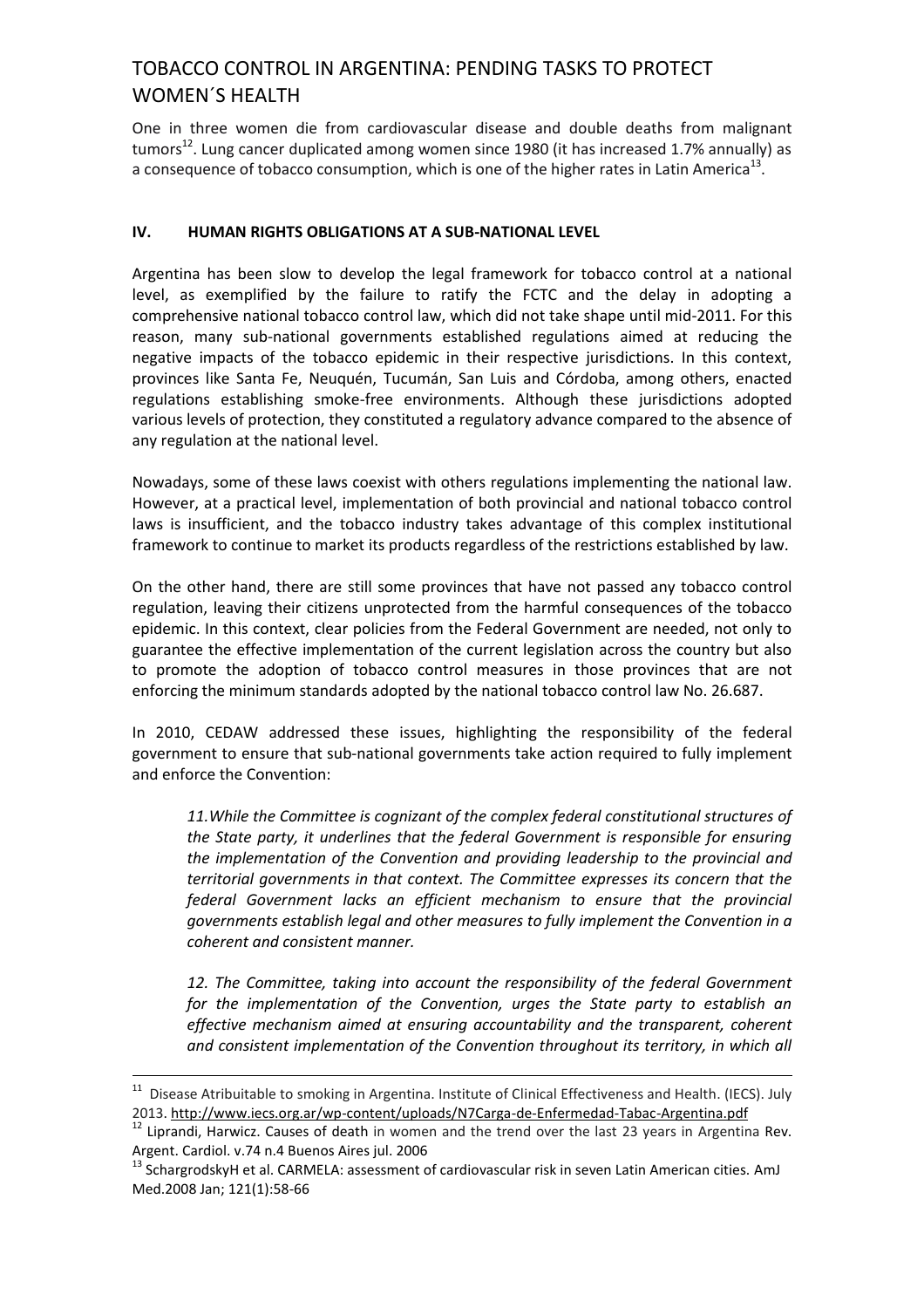One in three women die from cardiovascular disease and double deaths from malignant tumors<sup>12</sup>. Lung cancer duplicated among women since 1980 (it has increased 1.7% annually) as a consequence of tobacco consumption, which is one of the higher rates in Latin America<sup>13</sup>.

## **IV. HUMAN RIGHTS OBLIGATIONS AT A SUB-NATIONAL LEVEL**

Argentina has been slow to develop the legal framework for tobacco control at a national level, as exemplified by the failure to ratify the FCTC and the delay in adopting a comprehensive national tobacco control law, which did not take shape until mid-2011. For this reason, many sub-national governments established regulations aimed at reducing the negative impacts of the tobacco epidemic in their respective jurisdictions. In this context, provinces like Santa Fe, Neuquén, Tucumán, San Luis and Córdoba, among others, enacted regulations establishing smoke-free environments. Although these jurisdictions adopted various levels of protection, they constituted a regulatory advance compared to the absence of any regulation at the national level.

Nowadays, some of these laws coexist with others regulations implementing the national law. However, at a practical level, implementation of both provincial and national tobacco control laws is insufficient, and the tobacco industry takes advantage of this complex institutional framework to continue to market its products regardless of the restrictions established by law.

On the other hand, there are still some provinces that have not passed any tobacco control regulation, leaving their citizens unprotected from the harmful consequences of the tobacco epidemic. In this context, clear policies from the Federal Government are needed, not only to guarantee the effective implementation of the current legislation across the country but also to promote the adoption of tobacco control measures in those provinces that are not enforcing the minimum standards adopted by the national tobacco control law No. 26.687.

In 2010, CEDAW addressed these issues, highlighting the responsibility of the federal government to ensure that sub-national governments take action required to fully implement and enforce the Convention:

*11.While the Committee is cognizant of the complex federal constitutional structures of the State party, it underlines that the federal Government is responsible for ensuring the implementation of the Convention and providing leadership to the provincial and territorial governments in that context. The Committee expresses its concern that the federal Government lacks an efficient mechanism to ensure that the provincial governments establish legal and other measures to fully implement the Convention in a coherent and consistent manner.*

*12. The Committee, taking into account the responsibility of the federal Government for the implementation of the Convention, urges the State party to establish an effective mechanism aimed at ensuring accountability and the transparent, coherent and consistent implementation of the Convention throughout its territory, in which all* 

<u>.</u>

<sup>&</sup>lt;sup>11</sup> Disease Atribuitable to smoking in Argentina. Institute of Clinical Effectiveness and Health. (IECS). July 2013. <http://www.iecs.org.ar/wp-content/uploads/N7Carga-de-Enfermedad-Tabac-Argentina.pdf>

Liprandi, Harwicz. Causes of death in women and the trend over the last 23 years in Argentina Rev. Argent. Cardiol. v.74 n.4 Buenos Aires jul. 2006

<sup>&</sup>lt;sup>13</sup> SchargrodskyH et al. CARMELA: assessment of cardiovascular risk in seven Latin American cities. AmJ Med.2008 Jan; 121(1):58-66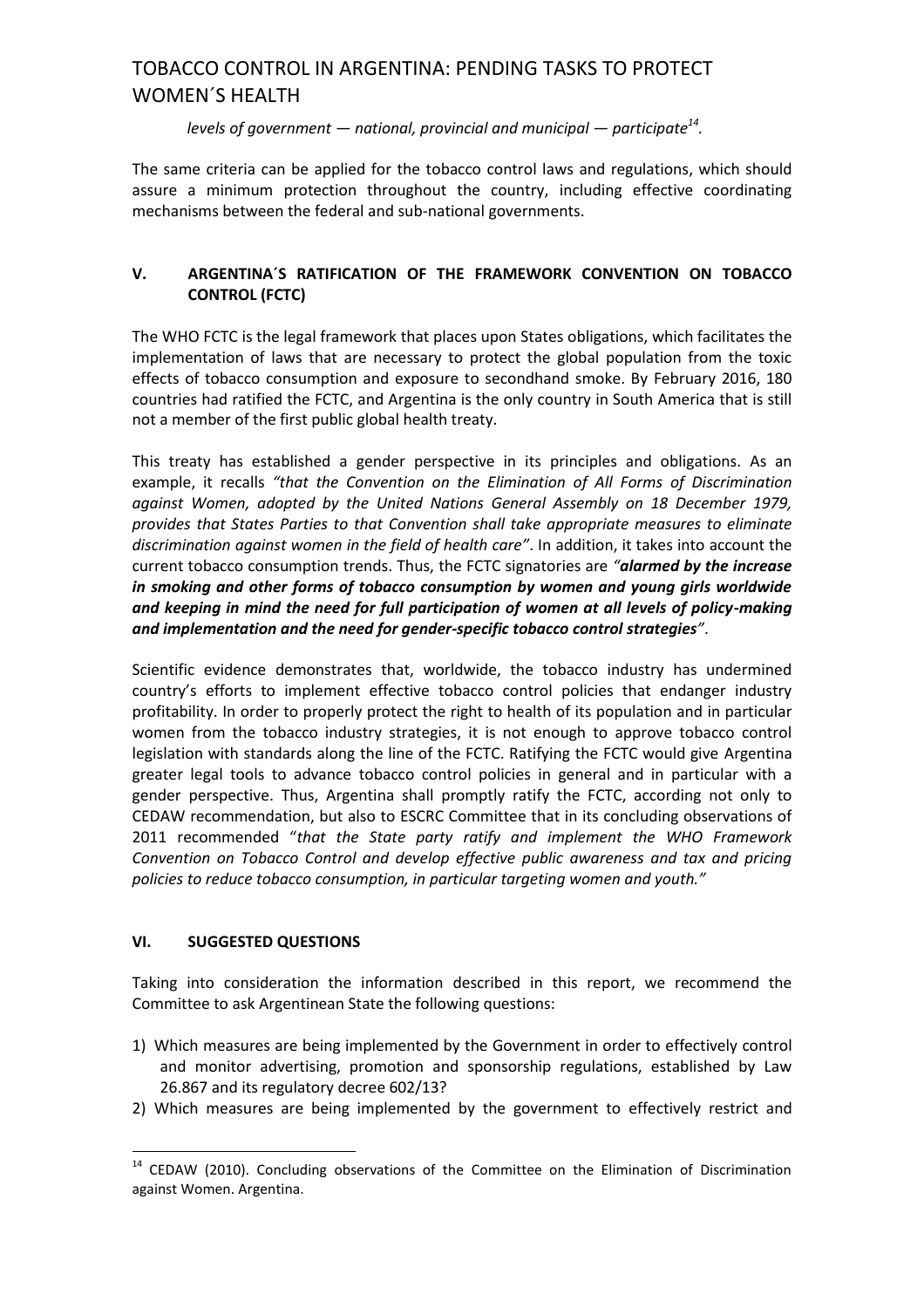*levels of government — national, provincial and municipal — participate<sup>14</sup> .*

The same criteria can be applied for the tobacco control laws and regulations, which should assure a minimum protection throughout the country, including effective coordinating mechanisms between the federal and sub-national governments.

# **V. ARGENTINA´S RATIFICATION OF THE FRAMEWORK CONVENTION ON TOBACCO CONTROL (FCTC)**

The WHO FCTC is the legal framework that places upon States obligations, which facilitates the implementation of laws that are necessary to protect the global population from the toxic effects of tobacco consumption and exposure to secondhand smoke. By February 2016, 180 countries had ratified the FCTC, and Argentina is the only country in South America that is still not a member of the first public global health treaty.

This treaty has established a gender perspective in its principles and obligations. As an example, it recalls *"that the Convention on the Elimination of All Forms of Discrimination against Women, adopted by the United Nations General Assembly on 18 December 1979, provides that States Parties to that Convention shall take appropriate measures to eliminate discrimination against women in the field of health care"*. In addition, it takes into account the current tobacco consumption trends. Thus, the FCTC signatories are *"alarmed by the increase in smoking and other forms of tobacco consumption by women and young girls worldwide and keeping in mind the need for full participation of women at all levels of policy-making and implementation and the need for gender-specific tobacco control strategies"*.

Scientific evidence demonstrates that, worldwide, the tobacco industry has undermined country's efforts to implement effective tobacco control policies that endanger industry profitability. In order to properly protect the right to health of its population and in particular women from the tobacco industry strategies, it is not enough to approve tobacco control legislation with standards along the line of the FCTC. Ratifying the FCTC would give Argentina greater legal tools to advance tobacco control policies in general and in particular with a gender perspective. Thus, Argentina shall promptly ratify the FCTC, according not only to CEDAW recommendation, but also to ESCRC Committee that in its concluding observations of 2011 recommended "*that the State party ratify and implement the WHO Framework Convention on Tobacco Control and develop effective public awareness and tax and pricing policies to reduce tobacco consumption, in particular targeting women and youth."*

## **VI. SUGGESTED QUESTIONS**

1

Taking into consideration the information described in this report, we recommend the Committee to ask Argentinean State the following questions:

- 1) Which measures are being implemented by the Government in order to effectively control and monitor advertising, promotion and sponsorship regulations, established by Law 26.867 and its regulatory decree 602/13?
- 2) Which measures are being implemented by the government to effectively restrict and

<sup>&</sup>lt;sup>14</sup> CEDAW (2010). Concluding observations of the Committee on the Elimination of Discrimination against Women. Argentina.